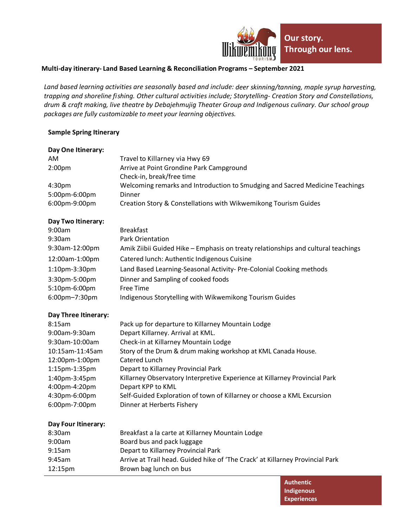

## **Multi-day itinerary- Land Based Learning & Reconciliation Programs – September 2021**

*Land based learning activities are seasonally based and include: deer skinning/tanning, maple syrup harvesting, trapping and shoreline fishing. Other cultural activities include; Storytelling- Creation Story and Constellations, drum & craft making, live theatre by Debajehmujig Theater Group and Indigenous culinary. Our school group packages are fully customizable to meet your learning objectives.*

## **Sample Spring Itinerary**

| Day One Itinerary:   |                                                                                   |
|----------------------|-----------------------------------------------------------------------------------|
| <b>AM</b>            | Travel to Killarney via Hwy 69                                                    |
| 2:00 <sub>pm</sub>   | Arrive at Point Grondine Park Campground                                          |
|                      | Check-in, break/free time                                                         |
| 4:30pm               | Welcoming remarks and Introduction to Smudging and Sacred Medicine Teachings      |
| 5:00pm-6:00pm        | Dinner                                                                            |
| 6:00pm-9:00pm        | Creation Story & Constellations with Wikwemikong Tourism Guides                   |
| Day Two Itinerary:   |                                                                                   |
| 9:00am               | <b>Breakfast</b>                                                                  |
| 9:30am               | <b>Park Orientation</b>                                                           |
| 9:30am-12:00pm       | Amik Ziibii Guided Hike - Emphasis on treaty relationships and cultural teachings |
| 12:00am-1:00pm       | Catered lunch: Authentic Indigenous Cuisine                                       |
| 1:10pm-3:30pm        | Land Based Learning-Seasonal Activity- Pre-Colonial Cooking methods               |
| 3:30pm-5:00pm        | Dinner and Sampling of cooked foods                                               |
| 5:10pm-6:00pm        | Free Time                                                                         |
| 6:00pm-7:30pm        | Indigenous Storytelling with Wikwemikong Tourism Guides                           |
| Day Three Itinerary: |                                                                                   |
| 8:15am               | Pack up for departure to Killarney Mountain Lodge                                 |
| 9:00am-9:30am        | Depart Killarney. Arrival at KML.                                                 |
| 9:30am-10:00am       | Check-in at Killarney Mountain Lodge                                              |
| 10:15am-11:45am      | Story of the Drum & drum making workshop at KML Canada House.                     |
| 12:00pm-1:00pm       | Catered Lunch                                                                     |
| 1:15pm-1:35pm        | Depart to Killarney Provincial Park                                               |
| 1:40pm-3:45pm        | Killarney Observatory Interpretive Experience at Killarney Provincial Park        |
| 4:00pm-4:20pm        | Depart KPP to KML                                                                 |
| 4:30pm-6:00pm        | Self-Guided Exploration of town of Killarney or choose a KML Excursion            |
| 6:00pm-7:00pm        | Dinner at Herberts Fishery                                                        |
| Day Four Itinerary:  |                                                                                   |
| 8:30am               | Breakfast a la carte at Killarney Mountain Lodge                                  |
| 9:00am               | Board bus and pack luggage                                                        |
| 9:15am               | Depart to Killarney Provincial Park                                               |
| 9:45am               | Arrive at Trail head. Guided hike of 'The Crack' at Killarney Provincial Park     |
| 12:15pm              | Brown bag lunch on bus                                                            |
|                      |                                                                                   |

**Authentic Indigenous Experiences**